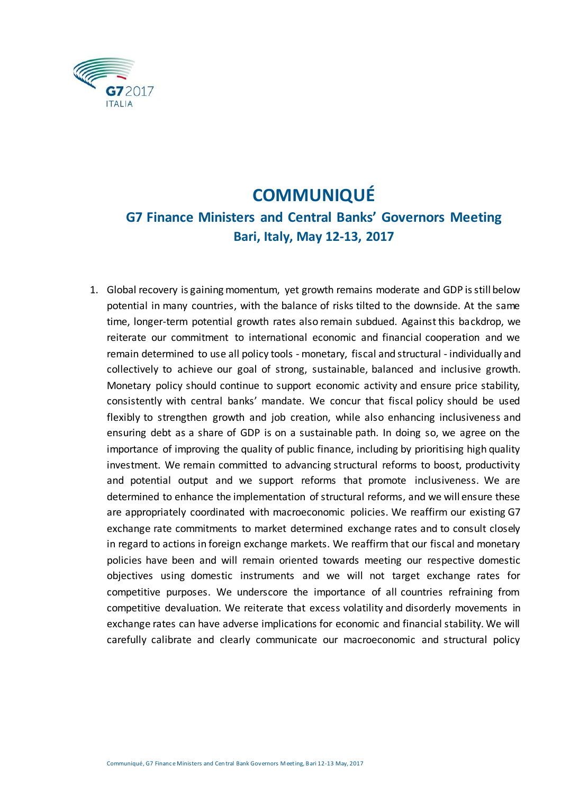

## **COMMUNIQUÉ**

## **G7 Finance Ministers and Central Banks' Governors Meeting Bari, Italy, May 12-13, 2017**

1. Global recovery is gaining momentum, yet growth remains moderate and GDP is still below potential in many countries, with the balance of risks tilted to the downside. At the same time, longer-term potential growth rates also remain subdued. Against this backdrop, we reiterate our commitment to international economic and financial cooperation and we remain determined to use all policy tools - monetary, fiscal and structural - individually and collectively to achieve our goal of strong, sustainable, balanced and inclusive growth. Monetary policy should continue to support economic activity and ensure price stability, consistently with central banks' mandate. We concur that fiscal policy should be used flexibly to strengthen growth and job creation, while also enhancing inclusiveness and ensuring debt as a share of GDP is on a sustainable path. In doing so, we agree on the importance of improving the quality of public finance, including by prioritising high quality investment. We remain committed to advancing structural reforms to boost, productivity and potential output and we support reforms that promote inclusiveness. We are determined to enhance the implementation of structural reforms, and we will ensure these are appropriately coordinated with macroeconomic policies. We reaffirm our existing G7 exchange rate commitments to market determined exchange rates and to consult closely in regard to actions in foreign exchange markets. We reaffirm that our fiscal and monetary policies have been and will remain oriented towards meeting our respective domestic objectives using domestic instruments and we will not target exchange rates for competitive purposes. We underscore the importance of all countries refraining from competitive devaluation. We reiterate that excess volatility and disorderly movements in exchange rates can have adverse implications for economic and financial stability. We will carefully calibrate and clearly communicate our macroeconomic and structural policy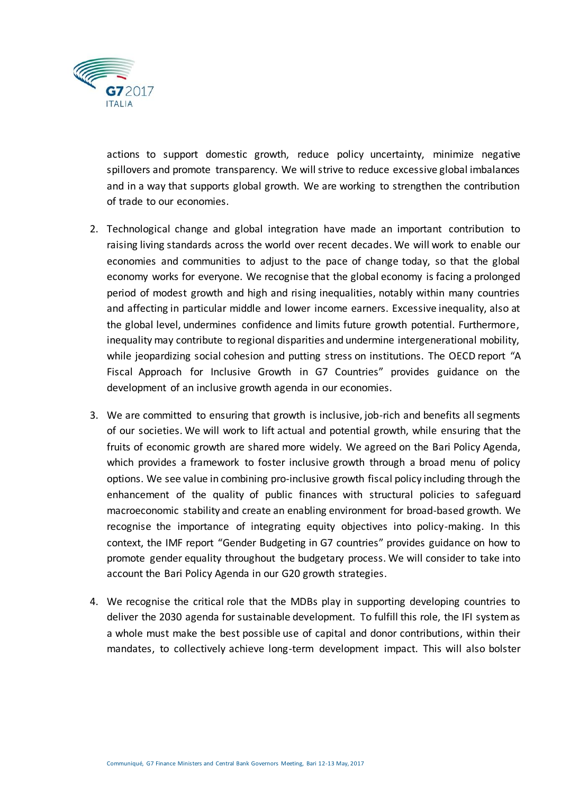

actions to support domestic growth, reduce policy uncertainty, minimize negative spillovers and promote transparency. We will strive to reduce excessive global imbalances and in a way that supports global growth. We are working to strengthen the contribution of trade to our economies.

- 2. Technological change and global integration have made an important contribution to raising living standards across the world over recent decades. We will work to enable our economies and communities to adjust to the pace of change today, so that the global economy works for everyone. We recognise that the global economy is facing a prolonged period of modest growth and high and rising inequalities, notably within many countries and affecting in particular middle and lower income earners. Excessive inequality, also at the global level, undermines confidence and limits future growth potential. Furthermore, inequality may contribute to regional disparities and undermine intergenerational mobility, while jeopardizing social cohesion and putting stress on institutions. The OECD report "A Fiscal Approach for Inclusive Growth in G7 Countries" provides guidance on the development of an inclusive growth agenda in our economies.
- 3. We are committed to ensuring that growth is inclusive, job-rich and benefits all segments of our societies. We will work to lift actual and potential growth, while ensuring that the fruits of economic growth are shared more widely. We agreed on the Bari Policy Agenda, which provides a framework to foster inclusive growth through a broad menu of policy options. We see value in combining pro-inclusive growth fiscal policy including through the enhancement of the quality of public finances with structural policies to safeguard macroeconomic stability and create an enabling environment for broad-based growth. We recognise the importance of integrating equity objectives into policy-making. In this context, the IMF report "Gender Budgeting in G7 countries" provides guidance on how to promote gender equality throughout the budgetary process. We will consider to take into account the Bari Policy Agenda in our G20 growth strategies.
- 4. We recognise the critical role that the MDBs play in supporting developing countries to deliver the 2030 agenda for sustainable development. To fulfill this role, the IFI system as a whole must make the best possible use of capital and donor contributions, within their mandates, to collectively achieve long-term development impact. This will also bolster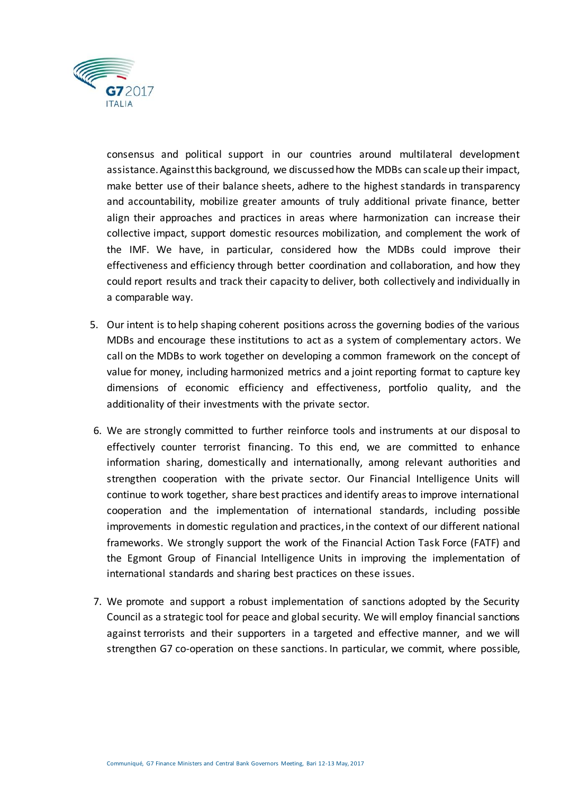

consensus and political support in our countries around multilateral development assistance. Against this background, we discussed how the MDBs can scale up their impact, make better use of their balance sheets, adhere to the highest standards in transparency and accountability, mobilize greater amounts of truly additional private finance, better align their approaches and practices in areas where harmonization can increase their collective impact, support domestic resources mobilization, and complement the work of the IMF. We have, in particular, considered how the MDBs could improve their effectiveness and efficiency through better coordination and collaboration, and how they could report results and track their capacity to deliver, both collectively and individually in a comparable way.

- 5. Our intent is to help shaping coherent positions across the governing bodies of the various MDBs and encourage these institutions to act as a system of complementary actors. We call on the MDBs to work together on developing a common framework on the concept of value for money, including harmonized metrics and a joint reporting format to capture key dimensions of economic efficiency and effectiveness, portfolio quality, and the additionality of their investments with the private sector.
- 6. We are strongly committed to further reinforce tools and instruments at our disposal to effectively counter terrorist financing. To this end, we are committed to enhance information sharing, domestically and internationally, among relevant authorities and strengthen cooperation with the private sector. Our Financial Intelligence Units will continue to work together, share best practices and identify areas to improve international cooperation and the implementation of international standards, including possible improvements in domestic regulation and practices, in the context of our different national frameworks. We strongly support the work of the Financial Action Task Force (FATF) and the Egmont Group of Financial Intelligence Units in improving the implementation of international standards and sharing best practices on these issues.
- 7. We promote and support a robust implementation of sanctions adopted by the Security Council as a strategic tool for peace and global security. We will employ financial sanctions against terrorists and their supporters in a targeted and effective manner, and we will strengthen G7 co-operation on these sanctions. In particular, we commit, where possible,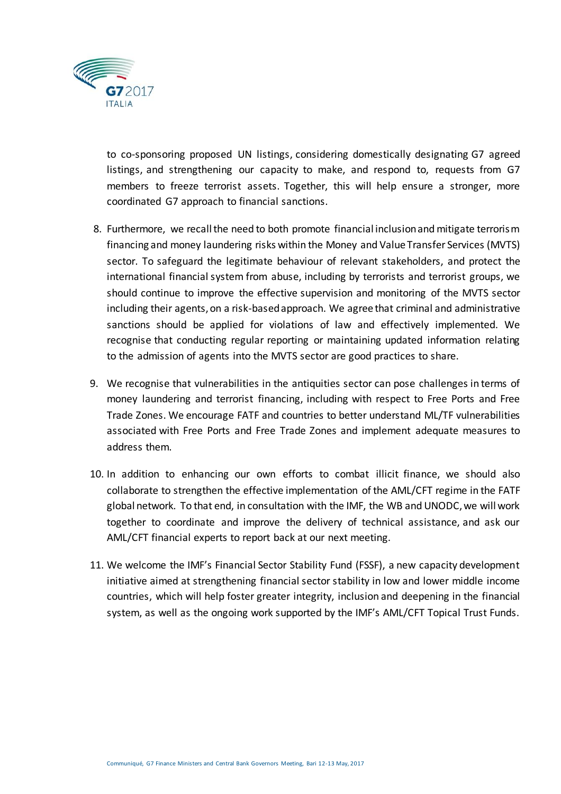

to co-sponsoring proposed UN listings, considering domestically designating G7 agreed listings, and strengthening our capacity to make, and respond to, requests from G7 members to freeze terrorist assets. Together, this will help ensure a stronger, more coordinated G7 approach to financial sanctions.

- 8. Furthermore, we recall the need to both promote financial inclusion and mitigate terrorism financing and money laundering risks within the Money and Value Transfer Services (MVTS) sector. To safeguard the legitimate behaviour of relevant stakeholders, and protect the international financial system from abuse, including by terrorists and terrorist groups, we should continue to improve the effective supervision and monitoring of the MVTS sector including their agents, on a risk-based approach. We agree that criminal and administrative sanctions should be applied for violations of law and effectively implemented. We recognise that conducting regular reporting or maintaining updated information relating to the admission of agents into the MVTS sector are good practices to share.
- 9. We recognise that vulnerabilities in the antiquities sector can pose challenges in terms of money laundering and terrorist financing, including with respect to Free Ports and Free Trade Zones. We encourage FATF and countries to better understand ML/TF vulnerabilities associated with Free Ports and Free Trade Zones and implement adequate measures to address them.
- 10. In addition to enhancing our own efforts to combat illicit finance, we should also collaborate to strengthen the effective implementation of the AML/CFT regime in the FATF global network. To that end, in consultation with the IMF, the WB and UNODC, we will work together to coordinate and improve the delivery of technical assistance, and ask our AML/CFT financial experts to report back at our next meeting.
- 11. We welcome the IMF's Financial Sector Stability Fund (FSSF), a new capacity development initiative aimed at strengthening financial sector stability in low and lower middle income countries, which will help foster greater integrity, inclusion and deepening in the financial system, as well as the ongoing work supported by the IMF's AML/CFT Topical Trust Funds.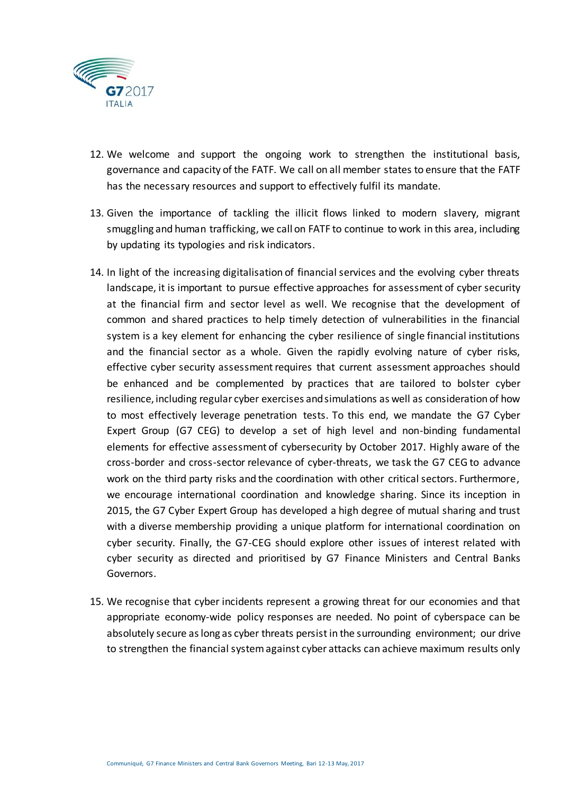

- 12. We welcome and support the ongoing work to strengthen the institutional basis, governance and capacity of the FATF. We call on all member states to ensure that the FATF has the necessary resources and support to effectively fulfil its mandate.
- 13. Given the importance of tackling the illicit flows linked to modern slavery, migrant smuggling and human trafficking, we call on FATF to continue to work in this area, including by updating its typologies and risk indicators.
- 14. In light of the increasing digitalisation of financial services and the evolving cyber threats landscape, it is important to pursue effective approaches for assessment of cyber security at the financial firm and sector level as well. We recognise that the development of common and shared practices to help timely detection of vulnerabilities in the financial system is a key element for enhancing the cyber resilience of single financial institutions and the financial sector as a whole. Given the rapidly evolving nature of cyber risks, effective cyber security assessment requires that current assessment approaches should be enhanced and be complemented by practices that are tailored to bolster cyber resilience, including regular cyber exercises and simulations as well as consideration of how to most effectively leverage penetration tests. To this end, we mandate the G7 Cyber Expert Group (G7 CEG) to develop a set of high level and non-binding fundamental elements for effective assessment of cybersecurity by October 2017. Highly aware of the cross-border and cross-sector relevance of cyber-threats, we task the G7 CEG to advance work on the third party risks and the coordination with other critical sectors. Furthermore, we encourage international coordination and knowledge sharing. Since its inception in 2015, the G7 Cyber Expert Group has developed a high degree of mutual sharing and trust with a diverse membership providing a unique platform for international coordination on cyber security. Finally, the G7-CEG should explore other issues of interest related with cyber security as directed and prioritised by G7 Finance Ministers and Central Banks Governors.
- 15. We recognise that cyber incidents represent a growing threat for our economies and that appropriate economy-wide policy responses are needed. No point of cyberspace can be absolutely secure as long as cyber threats persist in the surrounding environment; our drive to strengthen the financial system against cyber attacks can achieve maximum results only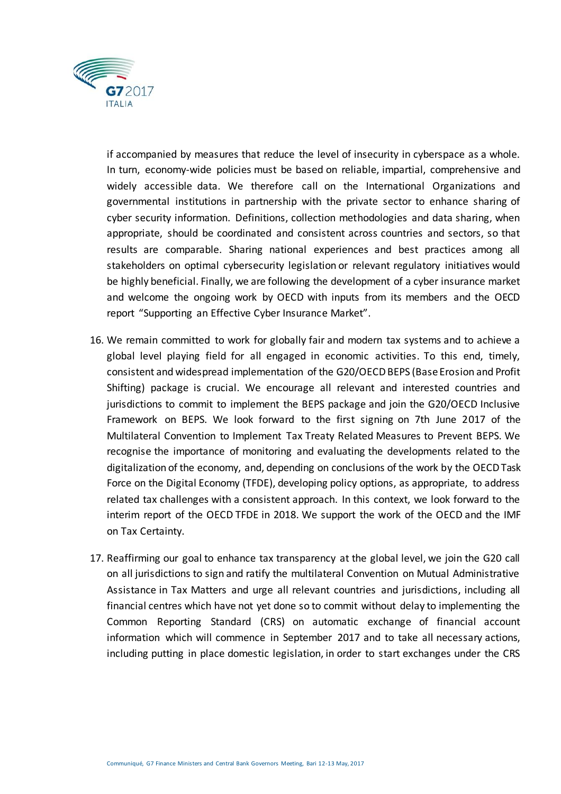

if accompanied by measures that reduce the level of insecurity in cyberspace as a whole. In turn, economy-wide policies must be based on reliable, impartial, comprehensive and widely accessible data. We therefore call on the International Organizations and governmental institutions in partnership with the private sector to enhance sharing of cyber security information. Definitions, collection methodologies and data sharing, when appropriate, should be coordinated and consistent across countries and sectors, so that results are comparable. Sharing national experiences and best practices among all stakeholders on optimal cybersecurity legislation or relevant regulatory initiatives would be highly beneficial. Finally, we are following the development of a cyber insurance market and welcome the ongoing work by OECD with inputs from its members and the OECD report "Supporting an Effective Cyber Insurance Market".

- 16. We remain committed to work for globally fair and modern tax systems and to achieve a global level playing field for all engaged in economic activities. To this end, timely, consistent and widespread implementation of the G20/OECD BEPS (Base Erosion and Profit Shifting) package is crucial. We encourage all relevant and interested countries and jurisdictions to commit to implement the BEPS package and join the G20/OECD Inclusive Framework on BEPS. We look forward to the first signing on 7th June 2017 of the Multilateral Convention to Implement Tax Treaty Related Measures to Prevent BEPS. We recognise the importance of monitoring and evaluating the developments related to the digitalization of the economy, and, depending on conclusions of the work by the OECD Task Force on the Digital Economy (TFDE), developing policy options, as appropriate, to address related tax challenges with a consistent approach. In this context, we look forward to the interim report of the OECD TFDE in 2018. We support the work of the OECD and the IMF on Tax Certainty.
- 17. Reaffirming our goal to enhance tax transparency at the global level, we join the G20 call on all jurisdictions to sign and ratify the multilateral Convention on Mutual Administrative Assistance in Tax Matters and urge all relevant countries and jurisdictions, including all financial centres which have not yet done so to commit without delay to implementing the Common Reporting Standard (CRS) on automatic exchange of financial account information which will commence in September 2017 and to take all necessary actions, including putting in place domestic legislation, in order to start exchanges under the CRS